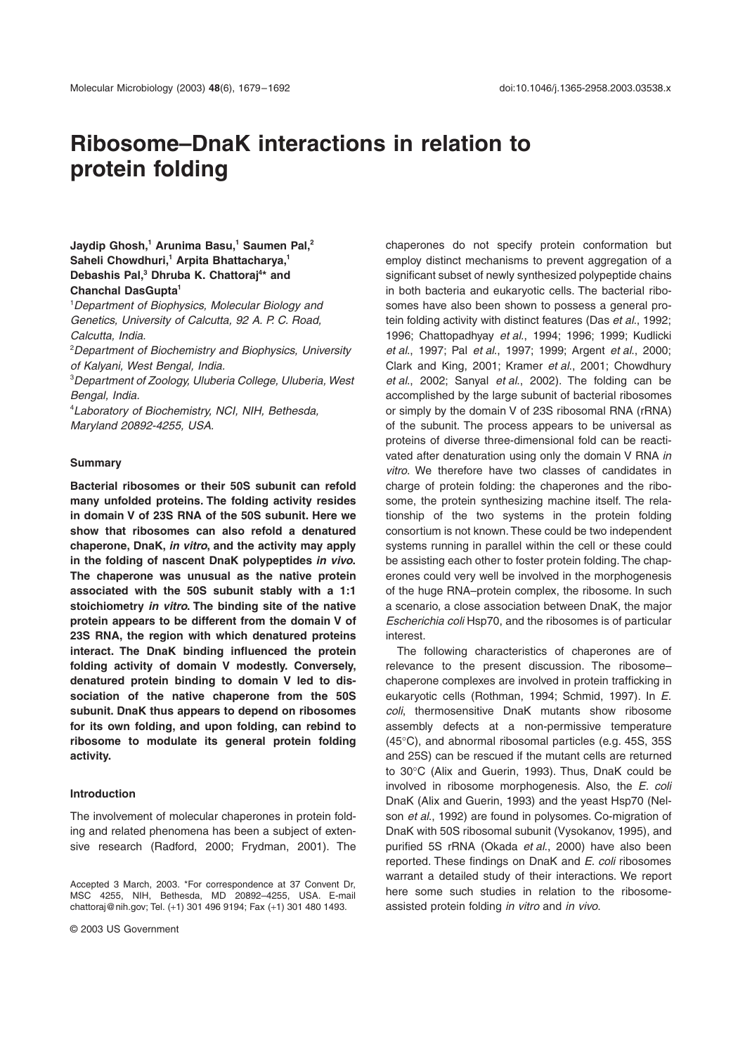# **Ribosome–DnaK interactions in relation to protein folding**

# **Jaydip Ghosh,<sup>1</sup> Arunima Basu,<sup>1</sup> Saumen Pal,<sup>2</sup> Saheli Chowdhuri,<sup>1</sup> Arpita Bhattacharya,<sup>1</sup> Debashis Pal,<sup>3</sup> Dhruba K. Chattoraj<sup>4</sup> \* and Chanchal DasGupta<sup>1</sup>**

<sup>1</sup>Department of Biophysics, Molecular Biology and Genetics, University of Calcutta, 92 A. P. C. Road, Calcutta, India.

<sup>2</sup>Department of Biochemistry and Biophysics, University of Kalyani, West Bengal, India.

<sup>3</sup>Department of Zoology, Uluberia College, Uluberia, West Bengal, India.

<sup>4</sup>Laboratory of Biochemistry, NCI, NIH, Bethesda, Maryland 20892-4255, USA.

## **Summary**

**Bacterial ribosomes or their 50S subunit can refold many unfolded proteins. The folding activity resides in domain V of 23S RNA of the 50S subunit. Here we show that ribosomes can also refold a denatured chaperone, DnaK, in vitro, and the activity may apply in the folding of nascent DnaK polypeptides in vivo. The chaperone was unusual as the native protein associated with the 50S subunit stably with a 1:1 stoichiometry in vitro. The binding site of the native protein appears to be different from the domain V of 23S RNA, the region with which denatured proteins interact. The DnaK binding influenced the protein folding activity of domain V modestly. Conversely, denatured protein binding to domain V led to dissociation of the native chaperone from the 50S subunit. DnaK thus appears to depend on ribosomes for its own folding, and upon folding, can rebind to ribosome to modulate its general protein folding activity.**

## **Introduction**

The involvement of molecular chaperones in protein folding and related phenomena has been a subject of extensive research (Radford, 2000; Frydman, 2001). The

chaperones do not specify protein conformation but employ distinct mechanisms to prevent aggregation of a significant subset of newly synthesized polypeptide chains in both bacteria and eukaryotic cells. The bacterial ribosomes have also been shown to possess a general protein folding activity with distinct features (Das et al., 1992; 1996; Chattopadhyay et al., 1994; 1996; 1999; Kudlicki et al., 1997; Pal et al., 1997; 1999; Argent et al., 2000; Clark and King, 2001; Kramer et al., 2001; Chowdhury et al., 2002; Sanyal et al., 2002). The folding can be accomplished by the large subunit of bacterial ribosomes or simply by the domain V of 23S ribosomal RNA (rRNA) of the subunit. The process appears to be universal as proteins of diverse three-dimensional fold can be reactivated after denaturation using only the domain V RNA in vitro. We therefore have two classes of candidates in charge of protein folding: the chaperones and the ribosome, the protein synthesizing machine itself. The relationship of the two systems in the protein folding consortium is not known. These could be two independent systems running in parallel within the cell or these could be assisting each other to foster protein folding. The chaperones could very well be involved in the morphogenesis of the huge RNA–protein complex, the ribosome. In such a scenario, a close association between DnaK, the major Escherichia coli Hsp70, and the ribosomes is of particular interest.

The following characteristics of chaperones are of relevance to the present discussion. The ribosome– chaperone complexes are involved in protein trafficking in eukaryotic cells (Rothman, 1994; Schmid, 1997). In E. coli, thermosensitive DnaK mutants show ribosome assembly defects at a non-permissive temperature (45∞C), and abnormal ribosomal particles (e.g. 45S, 35S and 25S) can be rescued if the mutant cells are returned to 30∞C (Alix and Guerin, 1993). Thus, DnaK could be involved in ribosome morphogenesis. Also, the E. coli DnaK (Alix and Guerin, 1993) and the yeast Hsp70 (Nelson et al., 1992) are found in polysomes. Co-migration of DnaK with 50S ribosomal subunit (Vysokanov, 1995), and purified 5S rRNA (Okada et al., 2000) have also been reported. These findings on DnaK and E. coli ribosomes warrant a detailed study of their interactions. We report here some such studies in relation to the ribosomeassisted protein folding in vitro and in vivo.

Accepted 3 March, 2003. \*For correspondence at 37 Convent Dr, MSC 4255, NIH, Bethesda, MD 20892–4255, USA. E-mail chattoraj@nih.gov; Tel. (+1) 301 496 9194; Fax (+1) 301 480 1493.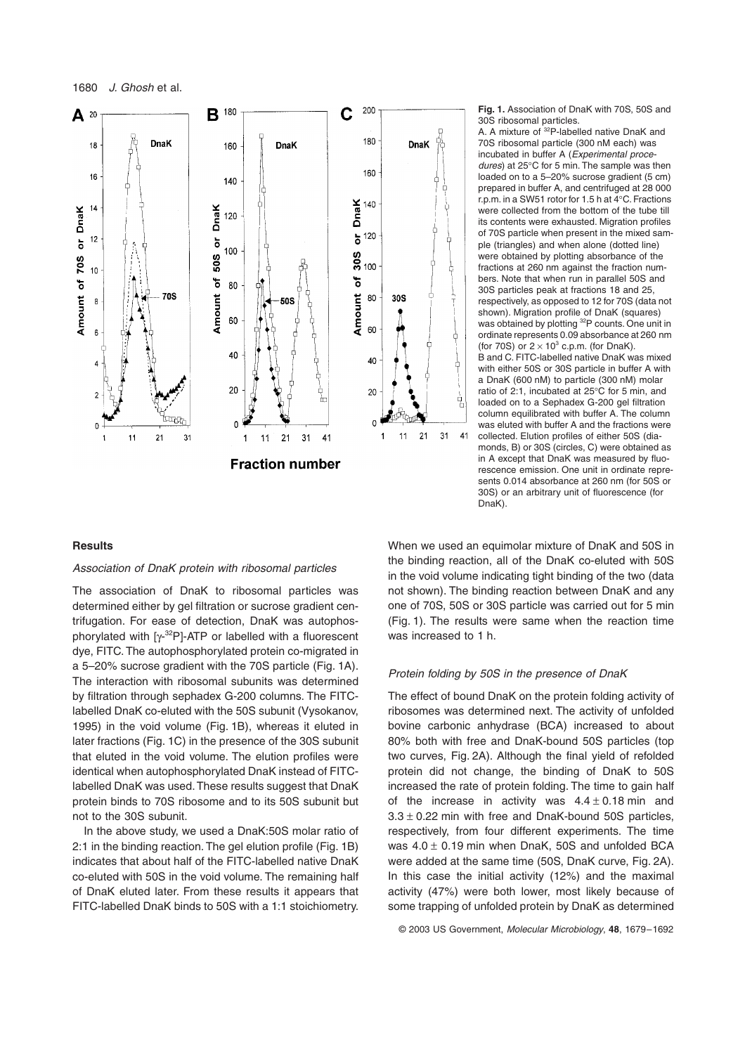

**Fig. 1.** Association of DnaK with 70S, 50S and 30S ribosomal particles.

A. A mixture of <sup>32</sup>P-labelled native DnaK and 70S ribosomal particle (300 nM each) was incubated in buffer A (Experimental procedures) at 25∞C for 5 min. The sample was then loaded on to a 5–20% sucrose gradient (5 cm) prepared in buffer A, and centrifuged at 28 000 r.p.m. in a SW51 rotor for 1.5 h at 4∞C. Fractions were collected from the bottom of the tube till its contents were exhausted. Migration profiles of 70S particle when present in the mixed sample (triangles) and when alone (dotted line) were obtained by plotting absorbance of the fractions at 260 nm against the fraction numbers. Note that when run in parallel 50S and 30S particles peak at fractions 18 and 25, respectively, as opposed to 12 for 70S (data not shown). Migration profile of DnaK (squares) was obtained by plotting <sup>32</sup>P counts. One unit in ordinate represents 0.09 absorbance at 260 nm (for 70S) or  $2 \times 10^3$  c.p.m. (for DnaK). B and C. FITC-labelled native DnaK was mixed with either 50S or 30S particle in buffer A with a DnaK (600 nM) to particle (300 nM) molar ratio of 2:1, incubated at 25∞C for 5 min, and loaded on to a Sephadex G-200 gel filtration column equilibrated with buffer A. The column was eluted with buffer A and the fractions were collected. Elution profiles of either 50S (diamonds, B) or 30S (circles, C) were obtained as in A except that DnaK was measured by fluorescence emission. One unit in ordinate represents 0.014 absorbance at 260 nm (for 50S or 30S) or an arbitrary unit of fluorescence (for

#### **Results**

#### Association of DnaK protein with ribosomal particles

The association of DnaK to ribosomal particles was determined either by gel filtration or sucrose gradient centrifugation. For ease of detection, DnaK was autophosphorylated with [y-<sup>32</sup>P]-ATP or labelled with a fluorescent dye, FITC. The autophosphorylated protein co-migrated in a 5–20% sucrose gradient with the 70S particle (Fig. 1A). The interaction with ribosomal subunits was determined by filtration through sephadex G-200 columns. The FITClabelled DnaK co-eluted with the 50S subunit (Vysokanov, 1995) in the void volume (Fig. 1B), whereas it eluted in later fractions (Fig. 1C) in the presence of the 30S subunit that eluted in the void volume. The elution profiles were identical when autophosphorylated DnaK instead of FITClabelled DnaK was used. These results suggest that DnaK protein binds to 70S ribosome and to its 50S subunit but not to the 30S subunit.

In the above study, we used a DnaK:50S molar ratio of 2:1 in the binding reaction. The gel elution profile (Fig. 1B) indicates that about half of the FITC-labelled native DnaK co-eluted with 50S in the void volume. The remaining half of DnaK eluted later. From these results it appears that FITC-labelled DnaK binds to 50S with a 1:1 stoichiometry. When we used an equimolar mixture of DnaK and 50S in the binding reaction, all of the DnaK co-eluted with 50S in the void volume indicating tight binding of the two (data not shown). The binding reaction between DnaK and any one of 70S, 50S or 30S particle was carried out for 5 min (Fig. 1). The results were same when the reaction time was increased to 1 h.

#### Protein folding by 50S in the presence of DnaK

DnaK).

The effect of bound DnaK on the protein folding activity of ribosomes was determined next. The activity of unfolded bovine carbonic anhydrase (BCA) increased to about 80% both with free and DnaK-bound 50S particles (top two curves, Fig. 2A). Although the final yield of refolded protein did not change, the binding of DnaK to 50S increased the rate of protein folding. The time to gain half of the increase in activity was  $4.4 \pm 0.18$  min and  $3.3 \pm 0.22$  min with free and DnaK-bound 50S particles, respectively, from four different experiments. The time was  $4.0 \pm 0.19$  min when DnaK, 50S and unfolded BCA were added at the same time (50S, DnaK curve, Fig. 2A). In this case the initial activity (12%) and the maximal activity (47%) were both lower, most likely because of some trapping of unfolded protein by DnaK as determined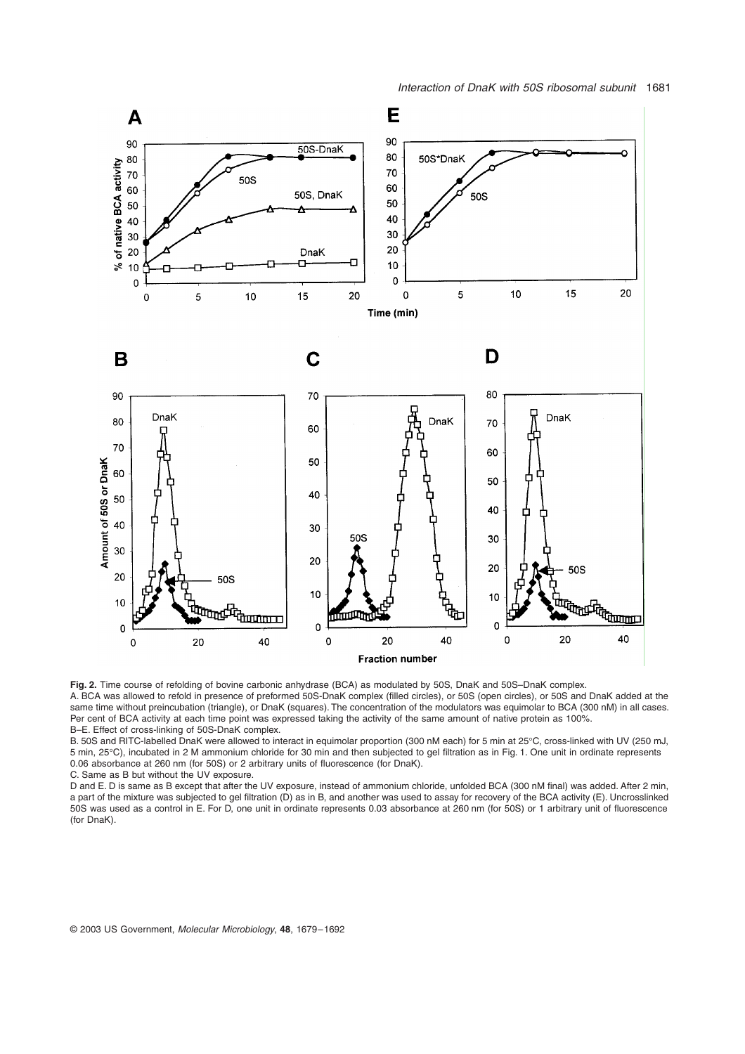

**Fig. 2.** Time course of refolding of bovine carbonic anhydrase (BCA) as modulated by 50S, DnaK and 50S–DnaK complex. A. BCA was allowed to refold in presence of preformed 50S-DnaK complex (filled circles), or 50S (open circles), or 50S and DnaK added at the

same time without preincubation (triangle), or DnaK (squares). The concentration of the modulators was equimolar to BCA (300 nM) in all cases. Per cent of BCA activity at each time point was expressed taking the activity of the same amount of native protein as 100%. B–E. Effect of cross-linking of 50S-DnaK complex.

B. 50S and RITC-labelled DnaK were allowed to interact in equimolar proportion (300 nM each) for 5 min at 25∞C, cross-linked with UV (250 mJ, 5 min, 25∞C), incubated in 2 M ammonium chloride for 30 min and then subjected to gel filtration as in Fig. 1. One unit in ordinate represents 0.06 absorbance at 260 nm (for 50S) or 2 arbitrary units of fluorescence (for DnaK).

C. Same as B but without the UV exposure.

D and E. D is same as B except that after the UV exposure, instead of ammonium chloride, unfolded BCA (300 nM final) was added. After 2 min, a part of the mixture was subjected to gel filtration (D) as in B, and another was used to assay for recovery of the BCA activity (E). Uncrosslinked 50S was used as a control in E. For D, one unit in ordinate represents 0.03 absorbance at 260 nm (for 50S) or 1 arbitrary unit of fluorescence (for DnaK).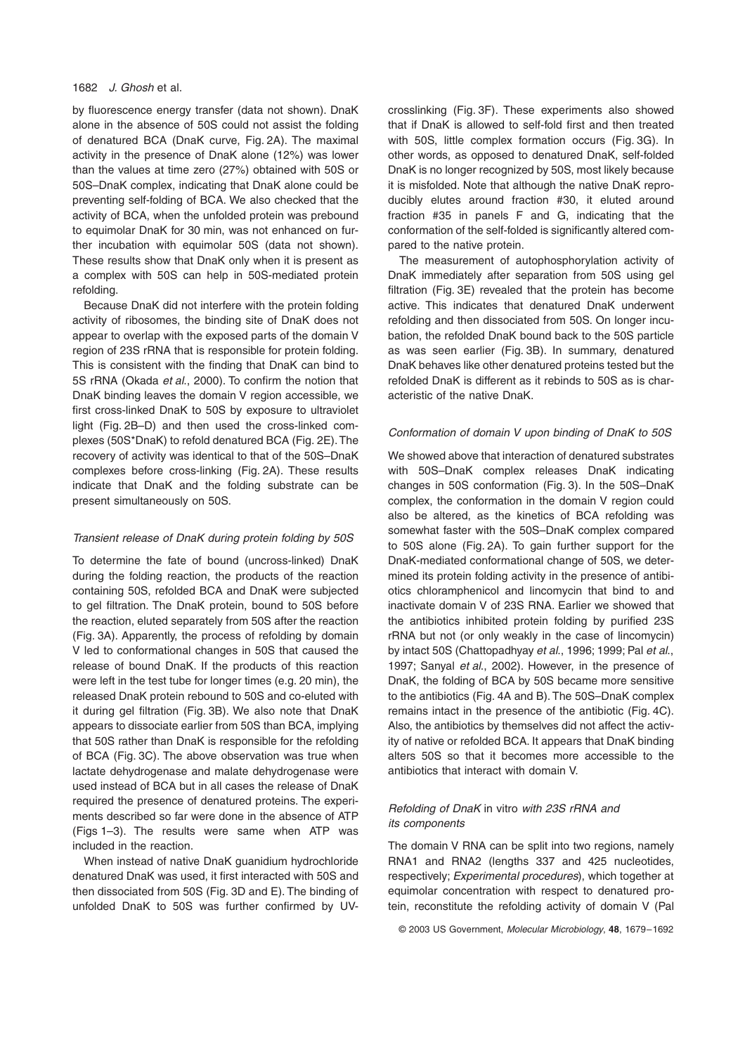## 1682 J. Ghosh et al.

by fluorescence energy transfer (data not shown). DnaK alone in the absence of 50S could not assist the folding of denatured BCA (DnaK curve, Fig. 2A). The maximal activity in the presence of DnaK alone (12%) was lower than the values at time zero (27%) obtained with 50S or 50S–DnaK complex, indicating that DnaK alone could be preventing self-folding of BCA. We also checked that the activity of BCA, when the unfolded protein was prebound to equimolar DnaK for 30 min, was not enhanced on further incubation with equimolar 50S (data not shown). These results show that DnaK only when it is present as a complex with 50S can help in 50S-mediated protein refolding.

Because DnaK did not interfere with the protein folding activity of ribosomes, the binding site of DnaK does not appear to overlap with the exposed parts of the domain V region of 23S rRNA that is responsible for protein folding. This is consistent with the finding that DnaK can bind to 5S rRNA (Okada et al., 2000). To confirm the notion that DnaK binding leaves the domain V region accessible, we first cross-linked DnaK to 50S by exposure to ultraviolet light (Fig. 2B–D) and then used the cross-linked complexes (50S\*DnaK) to refold denatured BCA (Fig. 2E). The recovery of activity was identical to that of the 50S–DnaK complexes before cross-linking (Fig. 2A). These results indicate that DnaK and the folding substrate can be present simultaneously on 50S.

# Transient release of DnaK during protein folding by 50S

To determine the fate of bound (uncross-linked) DnaK during the folding reaction, the products of the reaction containing 50S, refolded BCA and DnaK were subjected to gel filtration. The DnaK protein, bound to 50S before the reaction, eluted separately from 50S after the reaction (Fig. 3A). Apparently, the process of refolding by domain V led to conformational changes in 50S that caused the release of bound DnaK. If the products of this reaction were left in the test tube for longer times (e.g. 20 min), the released DnaK protein rebound to 50S and co-eluted with it during gel filtration (Fig. 3B). We also note that DnaK appears to dissociate earlier from 50S than BCA, implying that 50S rather than DnaK is responsible for the refolding of BCA (Fig. 3C). The above observation was true when lactate dehydrogenase and malate dehydrogenase were used instead of BCA but in all cases the release of DnaK required the presence of denatured proteins. The experiments described so far were done in the absence of ATP (Figs 1–3). The results were same when ATP was included in the reaction.

When instead of native DnaK guanidium hydrochloride denatured DnaK was used, it first interacted with 50S and then dissociated from 50S (Fig. 3D and E). The binding of unfolded DnaK to 50S was further confirmed by UV-

crosslinking (Fig. 3F). These experiments also showed that if DnaK is allowed to self-fold first and then treated with 50S, little complex formation occurs (Fig. 3G). In other words, as opposed to denatured DnaK, self-folded DnaK is no longer recognized by 50S, most likely because it is misfolded. Note that although the native DnaK reproducibly elutes around fraction #30, it eluted around fraction #35 in panels F and G, indicating that the conformation of the self-folded is significantly altered compared to the native protein.

The measurement of autophosphorylation activity of DnaK immediately after separation from 50S using gel filtration (Fig. 3E) revealed that the protein has become active. This indicates that denatured DnaK underwent refolding and then dissociated from 50S. On longer incubation, the refolded DnaK bound back to the 50S particle as was seen earlier (Fig. 3B). In summary, denatured DnaK behaves like other denatured proteins tested but the refolded DnaK is different as it rebinds to 50S as is characteristic of the native DnaK.

## Conformation of domain V upon binding of DnaK to 50S

We showed above that interaction of denatured substrates with 50S–DnaK complex releases DnaK indicating changes in 50S conformation (Fig. 3). In the 50S–DnaK complex, the conformation in the domain V region could also be altered, as the kinetics of BCA refolding was somewhat faster with the 50S–DnaK complex compared to 50S alone (Fig. 2A). To gain further support for the DnaK-mediated conformational change of 50S, we determined its protein folding activity in the presence of antibiotics chloramphenicol and lincomycin that bind to and inactivate domain V of 23S RNA. Earlier we showed that the antibiotics inhibited protein folding by purified 23S rRNA but not (or only weakly in the case of lincomycin) by intact 50S (Chattopadhyay et al., 1996; 1999; Pal et al., 1997; Sanyal et al., 2002). However, in the presence of DnaK, the folding of BCA by 50S became more sensitive to the antibiotics (Fig. 4A and B). The 50S–DnaK complex remains intact in the presence of the antibiotic (Fig. 4C). Also, the antibiotics by themselves did not affect the activity of native or refolded BCA. It appears that DnaK binding alters 50S so that it becomes more accessible to the antibiotics that interact with domain V.

# Refolding of DnaK in vitro with 23S rRNA and its components

The domain V RNA can be split into two regions, namely RNA1 and RNA2 (lengths 337 and 425 nucleotides, respectively; Experimental procedures), which together at equimolar concentration with respect to denatured protein, reconstitute the refolding activity of domain V (Pal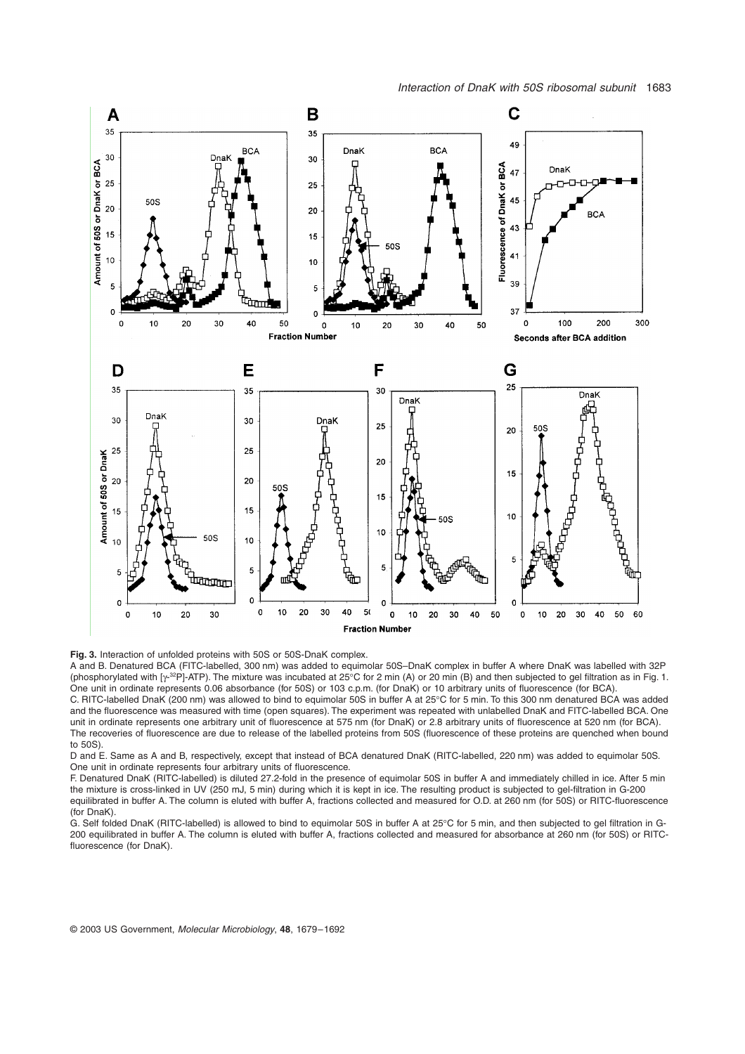

**Fig. 3.** Interaction of unfolded proteins with 50S or 50S-DnaK complex.

A and B. Denatured BCA (FITC-labelled, 300 nm) was added to equimolar 50S–DnaK complex in buffer A where DnaK was labelled with 32P (phosphorylated with [ $\gamma$ -<sup>32</sup>P]-ATP). The mixture was incubated at 25°C for 2 min (A) or 20 min (B) and then subjected to gel filtration as in Fig. 1. One unit in ordinate represents 0.06 absorbance (for 50S) or 103 c.p.m. (for DnaK) or 10 arbitrary units of fluorescence (for BCA). C. RITC-labelled DnaK (200 nm) was allowed to bind to equimolar 50S in buffer A at 25∞C for 5 min. To this 300 nm denatured BCA was added and the fluorescence was measured with time (open squares). The experiment was repeated with unlabelled DnaK and FITC-labelled BCA. One unit in ordinate represents one arbitrary unit of fluorescence at 575 nm (for DnaK) or 2.8 arbitrary units of fluorescence at 520 nm (for BCA). The recoveries of fluorescence are due to release of the labelled proteins from 50S (fluorescence of these proteins are quenched when bound to 50S).

D and E. Same as A and B, respectively, except that instead of BCA denatured DnaK (RITC-labelled, 220 nm) was added to equimolar 50S. One unit in ordinate represents four arbitrary units of fluorescence.

F. Denatured DnaK (RITC-labelled) is diluted 27.2-fold in the presence of equimolar 50S in buffer A and immediately chilled in ice. After 5 min the mixture is cross-linked in UV (250 mJ, 5 min) during which it is kept in ice. The resulting product is subjected to gel-filtration in G-200 equilibrated in buffer A. The column is eluted with buffer A, fractions collected and measured for O.D. at 260 nm (for 50S) or RITC-fluorescence (for DnaK).

G. Self folded DnaK (RITC-labelled) is allowed to bind to equimolar 50S in buffer A at 25∞C for 5 min, and then subjected to gel filtration in G-200 equilibrated in buffer A. The column is eluted with buffer A, fractions collected and measured for absorbance at 260 nm (for 50S) or RITCfluorescence (for DnaK).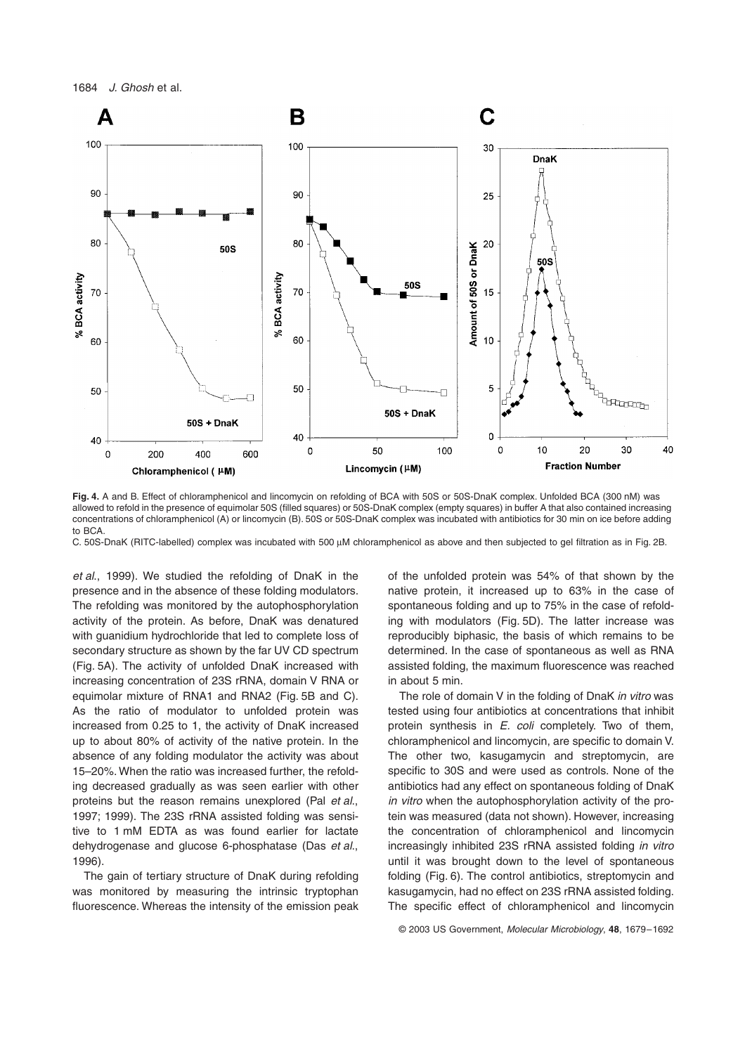

**Fig. 4.** A and B. Effect of chloramphenicol and lincomycin on refolding of BCA with 50S or 50S-DnaK complex. Unfolded BCA (300 nM) was allowed to refold in the presence of equimolar 50S (filled squares) or 50S-DnaK complex (empty squares) in buffer A that also contained increasing concentrations of chloramphenicol (A) or lincomycin (B). 50S or 50S-DnaK complex was incubated with antibiotics for 30 min on ice before adding to BCA.

C. 50S-DnaK (RITC-labelled) complex was incubated with 500  $\mu$ M chloramphenicol as above and then subjected to gel filtration as in Fig. 2B.

et al., 1999). We studied the refolding of DnaK in the presence and in the absence of these folding modulators. The refolding was monitored by the autophosphorylation activity of the protein. As before, DnaK was denatured with guanidium hydrochloride that led to complete loss of secondary structure as shown by the far UV CD spectrum (Fig. 5A). The activity of unfolded DnaK increased with increasing concentration of 23S rRNA, domain V RNA or equimolar mixture of RNA1 and RNA2 (Fig. 5B and C). As the ratio of modulator to unfolded protein was increased from 0.25 to 1, the activity of DnaK increased up to about 80% of activity of the native protein. In the absence of any folding modulator the activity was about 15–20%. When the ratio was increased further, the refolding decreased gradually as was seen earlier with other proteins but the reason remains unexplored (Pal et al., 1997; 1999). The 23S rRNA assisted folding was sensitive to 1 mM EDTA as was found earlier for lactate dehydrogenase and glucose 6-phosphatase (Das et al., 1996).

The gain of tertiary structure of DnaK during refolding was monitored by measuring the intrinsic tryptophan fluorescence. Whereas the intensity of the emission peak of the unfolded protein was 54% of that shown by the native protein, it increased up to 63% in the case of spontaneous folding and up to 75% in the case of refolding with modulators (Fig. 5D). The latter increase was reproducibly biphasic, the basis of which remains to be determined. In the case of spontaneous as well as RNA assisted folding, the maximum fluorescence was reached in about 5 min.

The role of domain V in the folding of DnaK in vitro was tested using four antibiotics at concentrations that inhibit protein synthesis in E. coli completely. Two of them, chloramphenicol and lincomycin, are specific to domain V. The other two, kasugamycin and streptomycin, are specific to 30S and were used as controls. None of the antibiotics had any effect on spontaneous folding of DnaK in vitro when the autophosphorylation activity of the protein was measured (data not shown). However, increasing the concentration of chloramphenicol and lincomycin increasingly inhibited 23S rRNA assisted folding in vitro until it was brought down to the level of spontaneous folding (Fig. 6). The control antibiotics, streptomycin and kasugamycin, had no effect on 23S rRNA assisted folding. The specific effect of chloramphenicol and lincomycin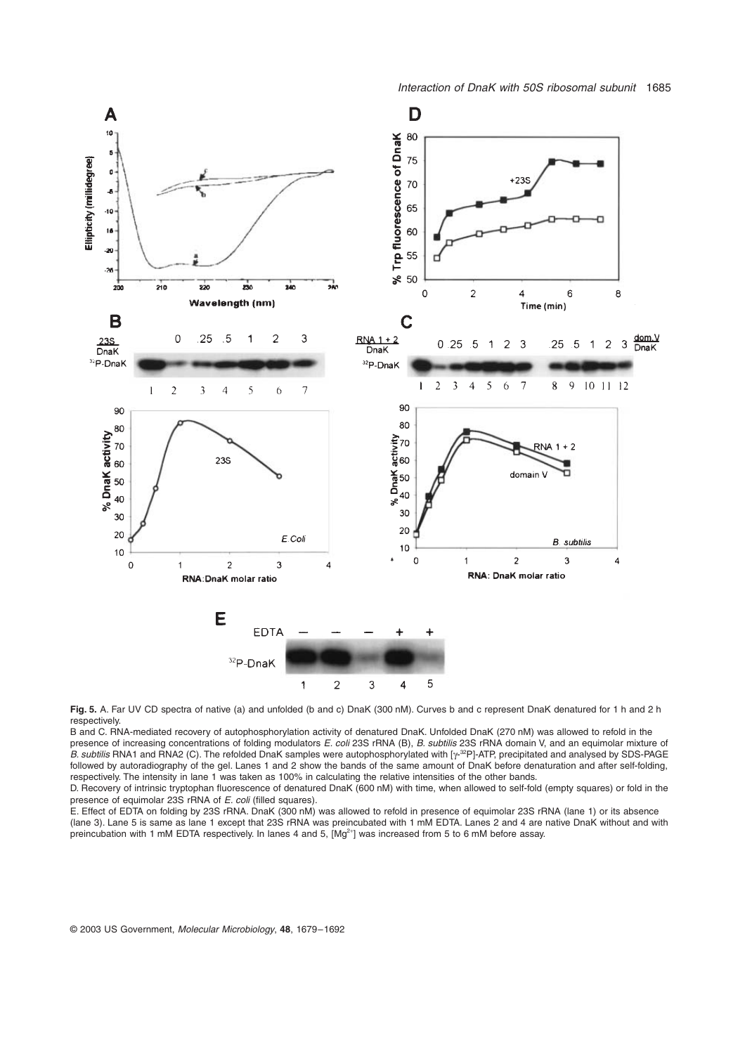

Fig. 5. A. Far UV CD spectra of native (a) and unfolded (b and c) DnaK (300 nM). Curves b and c represent DnaK denatured for 1 h and 2 h respectively.

B and C. RNA-mediated recovery of autophosphorylation activity of denatured DnaK. Unfolded DnaK (270 nM) was allowed to refold in the presence of increasing concentrations of folding modulators E. coli 23S rRNA (B), B. subtilis 23S rRNA domain V, and an equimolar mixture of B. subtilis RNA1 and RNA2 (C). The refolded DnaK samples were autophosphorylated with [y-<sup>32</sup>P]-ATP, precipitated and analysed by SDS-PAGE followed by autoradiography of the gel. Lanes 1 and 2 show the bands of the same amount of DnaK before denaturation and after self-folding, respectively. The intensity in lane 1 was taken as 100% in calculating the relative intensities of the other bands.

D. Recovery of intrinsic tryptophan fluorescence of denatured DnaK (600 nM) with time, when allowed to self-fold (empty squares) or fold in the presence of equimolar 23S rRNA of E. coli (filled squares).

E. Effect of EDTA on folding by 23S rRNA. DnaK (300 nM) was allowed to refold in presence of equimolar 23S rRNA (lane 1) or its absence (lane 3). Lane 5 is same as lane 1 except that 23S rRNA was preincubated with 1 mM EDTA. Lanes 2 and 4 are native DnaK without and with preincubation with 1 mM EDTA respectively. In lanes 4 and 5, [Mg<sup>2+</sup>] was increased from 5 to 6 mM before assay.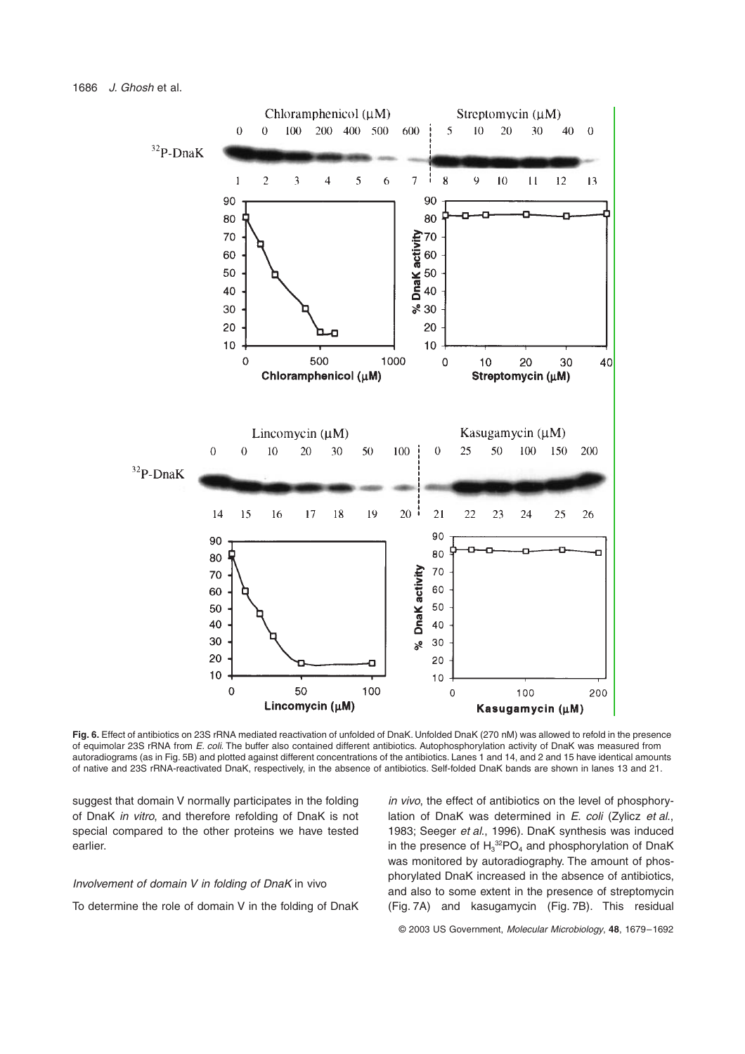

**Fig. 6.** Effect of antibiotics on 23S rRNA mediated reactivation of unfolded of DnaK. Unfolded DnaK (270 nM) was allowed to refold in the presence of equimolar 23S rRNA from E. coli. The buffer also contained different antibiotics. Autophosphorylation activity of DnaK was measured from autoradiograms (as in Fig. 5B) and plotted against different concentrations of the antibiotics. Lanes 1 and 14, and 2 and 15 have identical amounts of native and 23S rRNA-reactivated DnaK, respectively, in the absence of antibiotics. Self-folded DnaK bands are shown in lanes 13 and 21.

suggest that domain V normally participates in the folding of DnaK in vitro, and therefore refolding of DnaK is not special compared to the other proteins we have tested earlier.

## Involvement of domain V in folding of DnaK in vivo

To determine the role of domain V in the folding of DnaK

in vivo, the effect of antibiotics on the level of phosphorylation of DnaK was determined in  $E$ . coli (Zylicz et al., 1983; Seeger et al., 1996). DnaK synthesis was induced in the presence of  $H_3^{32}PO_4$  and phosphorylation of DnaK was monitored by autoradiography. The amount of phosphorylated DnaK increased in the absence of antibiotics, and also to some extent in the presence of streptomycin (Fig. 7A) and kasugamycin (Fig. 7B). This residual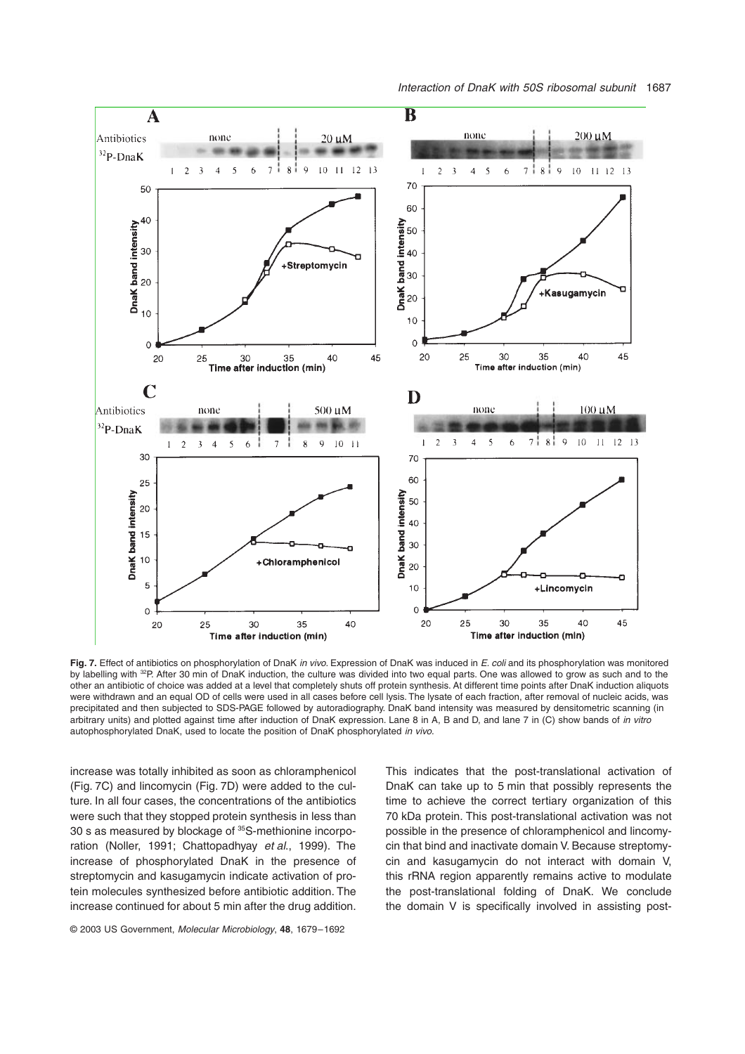

Fig. 7. Effect of antibiotics on phosphorylation of DnaK in vivo. Expression of DnaK was induced in E. coli and its phosphorylation was monitored by labelling with <sup>32</sup>P. After 30 min of DnaK induction, the culture was divided into two equal parts. One was allowed to grow as such and to the other an antibiotic of choice was added at a level that completely shuts off protein synthesis. At different time points after DnaK induction aliquots were withdrawn and an equal OD of cells were used in all cases before cell lysis. The lysate of each fraction, after removal of nucleic acids, was precipitated and then subjected to SDS-PAGE followed by autoradiography. DnaK band intensity was measured by densitometric scanning (in arbitrary units) and plotted against time after induction of DnaK expression. Lane 8 in A, B and D, and lane 7 in (C) show bands of in vitro autophosphorylated DnaK, used to locate the position of DnaK phosphorylated in vivo.

increase was totally inhibited as soon as chloramphenicol (Fig. 7C) and lincomycin (Fig. 7D) were added to the culture. In all four cases, the concentrations of the antibiotics were such that they stopped protein synthesis in less than 30 s as measured by blockage of 35S-methionine incorporation (Noller, 1991; Chattopadhyay et al., 1999). The increase of phosphorylated DnaK in the presence of streptomycin and kasugamycin indicate activation of protein molecules synthesized before antibiotic addition. The increase continued for about 5 min after the drug addition.

© 2003 US Government, Molecular Microbiology, **48**, 1679–1692

This indicates that the post-translational activation of DnaK can take up to 5 min that possibly represents the time to achieve the correct tertiary organization of this 70 kDa protein. This post-translational activation was not possible in the presence of chloramphenicol and lincomycin that bind and inactivate domain V. Because streptomycin and kasugamycin do not interact with domain V, this rRNA region apparently remains active to modulate the post-translational folding of DnaK. We conclude the domain V is specifically involved in assisting post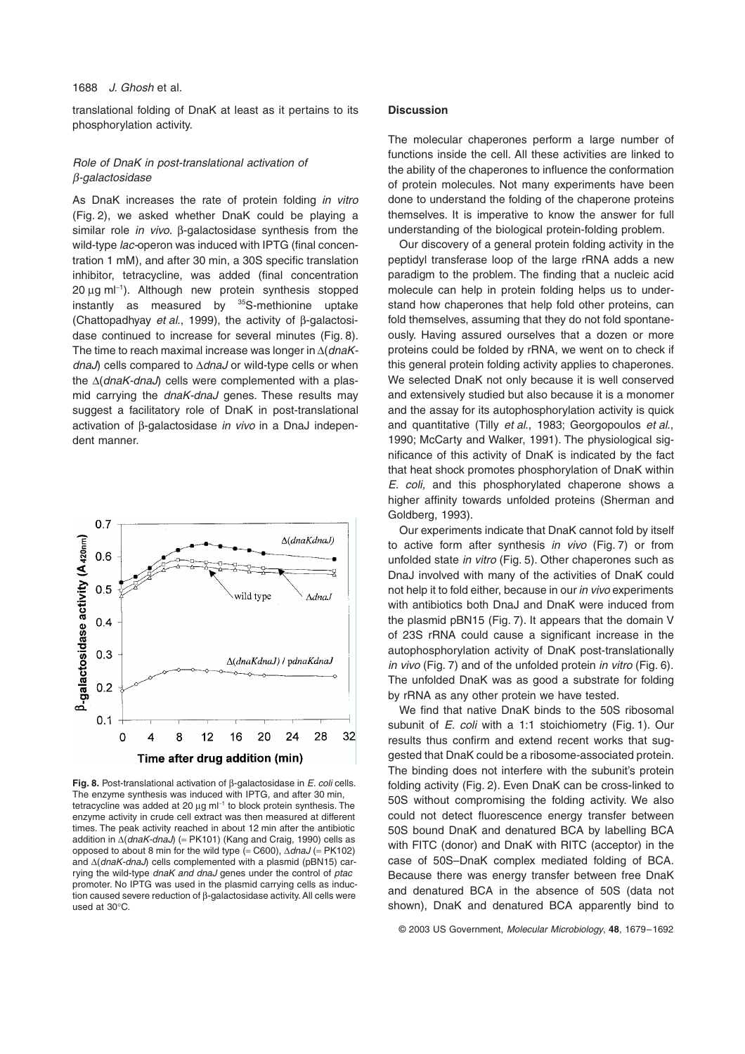translational folding of DnaK at least as it pertains to its phosphorylation activity.

# Role of DnaK in post-translational activation of b-galactosidase

As DnaK increases the rate of protein folding in vitro (Fig. 2), we asked whether DnaK could be playing a similar role in vivo. B-galactosidase synthesis from the wild-type *lac-operon* was induced with IPTG (final concentration 1 mM), and after 30 min, a 30S specific translation inhibitor, tetracycline, was added (final concentration 20 µg ml<sup>-1</sup>). Although new protein synthesis stopped instantly as measured by  $35S$ -methionine uptake (Chattopadhyay et al., 1999), the activity of  $\beta$ -galactosidase continued to increase for several minutes (Fig. 8). The time to reach maximal increase was longer in  $\Delta$ (*dnaK* $dnaJ$ ) cells compared to  $\Delta dnaJ$  or wild-type cells or when the  $\Delta$ (dnaK-dnaJ) cells were complemented with a plasmid carrying the dnaK-dnaJ genes. These results may suggest a facilitatory role of DnaK in post-translational activation of  $\beta$ -galactosidase *in vivo* in a DnaJ independent manner.



**Fig. 8.** Post-translational activation of  $\beta$ -galactosidase in *E. coli* cells. The enzyme synthesis was induced with IPTG, and after 30 min, tetracycline was added at 20  $\mu$ g m $I^{-1}$  to block protein synthesis. The enzyme activity in crude cell extract was then measured at different times. The peak activity reached in about 12 min after the antibiotic addition in  $\Delta$ (dnaK-dnaJ) (= PK101) (Kang and Craig, 1990) cells as opposed to about 8 min for the wild type (= C600),  $\Delta dnaJ$  (= PK102) and  $\Delta(dnak-dnaJ)$  cells complemented with a plasmid (pBN15) carrying the wild-type dnaK and dnaJ genes under the control of ptac promoter. No IPTG was used in the plasmid carrying cells as induction caused severe reduction of b-galactosidase activity. All cells were used at 30∞C.

# **Discussion**

The molecular chaperones perform a large number of functions inside the cell. All these activities are linked to the ability of the chaperones to influence the conformation of protein molecules. Not many experiments have been done to understand the folding of the chaperone proteins themselves. It is imperative to know the answer for full understanding of the biological protein-folding problem.

Our discovery of a general protein folding activity in the peptidyl transferase loop of the large rRNA adds a new paradigm to the problem. The finding that a nucleic acid molecule can help in protein folding helps us to understand how chaperones that help fold other proteins, can fold themselves, assuming that they do not fold spontaneously. Having assured ourselves that a dozen or more proteins could be folded by rRNA, we went on to check if this general protein folding activity applies to chaperones. We selected DnaK not only because it is well conserved and extensively studied but also because it is a monomer and the assay for its autophosphorylation activity is quick and quantitative (Tilly et al., 1983; Georgopoulos et al., 1990; McCarty and Walker, 1991). The physiological significance of this activity of DnaK is indicated by the fact that heat shock promotes phosphorylation of DnaK within E. coli, and this phosphorylated chaperone shows a higher affinity towards unfolded proteins (Sherman and Goldberg, 1993).

Our experiments indicate that DnaK cannot fold by itself to active form after synthesis in vivo (Fig. 7) or from unfolded state in vitro (Fig. 5). Other chaperones such as DnaJ involved with many of the activities of DnaK could not help it to fold either, because in our in vivo experiments with antibiotics both DnaJ and DnaK were induced from the plasmid pBN15 (Fig. 7). It appears that the domain V of 23S rRNA could cause a significant increase in the autophosphorylation activity of DnaK post-translationally in vivo (Fig. 7) and of the unfolded protein in vitro (Fig. 6). The unfolded DnaK was as good a substrate for folding by rRNA as any other protein we have tested.

We find that native DnaK binds to the 50S ribosomal subunit of *E. coli* with a 1:1 stoichiometry (Fig. 1). Our results thus confirm and extend recent works that suggested that DnaK could be a ribosome-associated protein. The binding does not interfere with the subunit's protein folding activity (Fig. 2). Even DnaK can be cross-linked to 50S without compromising the folding activity. We also could not detect fluorescence energy transfer between 50S bound DnaK and denatured BCA by labelling BCA with FITC (donor) and DnaK with RITC (acceptor) in the case of 50S–DnaK complex mediated folding of BCA. Because there was energy transfer between free DnaK and denatured BCA in the absence of 50S (data not shown), DnaK and denatured BCA apparently bind to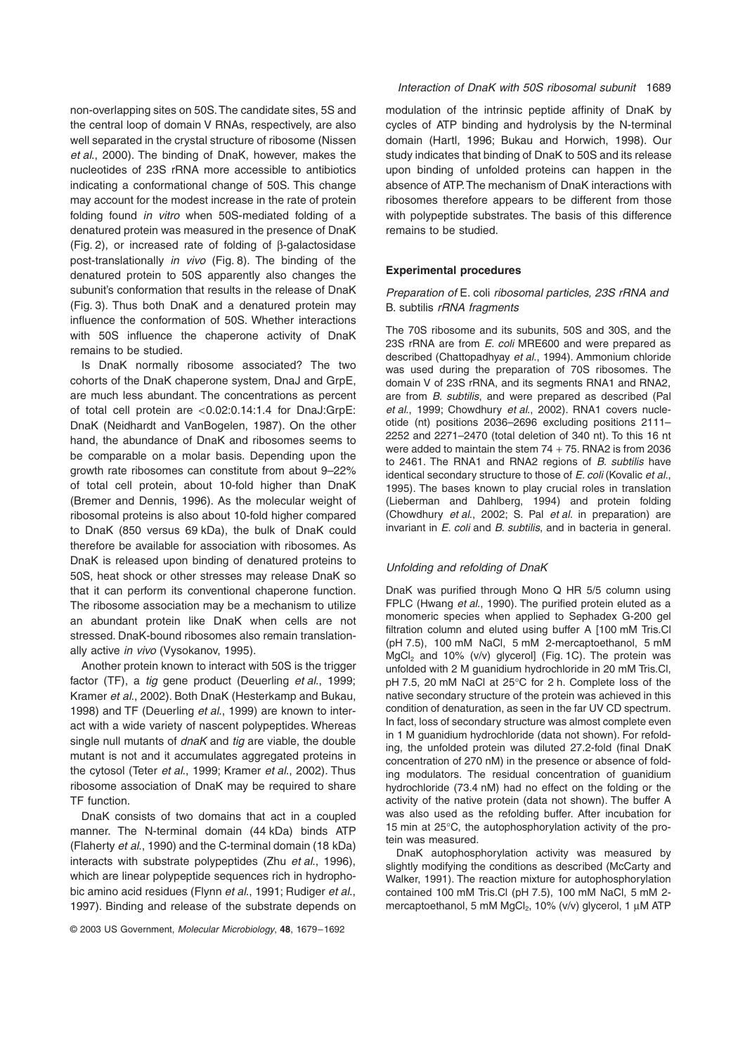non-overlapping sites on 50S. The candidate sites, 5S and the central loop of domain V RNAs, respectively, are also well separated in the crystal structure of ribosome (Nissen et al., 2000). The binding of DnaK, however, makes the nucleotides of 23S rRNA more accessible to antibiotics indicating a conformational change of 50S. This change may account for the modest increase in the rate of protein folding found in vitro when 50S-mediated folding of a denatured protein was measured in the presence of DnaK  $(Fiq. 2)$ , or increased rate of folding of  $\beta$ -galactosidase post-translationally in vivo (Fig. 8). The binding of the denatured protein to 50S apparently also changes the subunit's conformation that results in the release of DnaK (Fig. 3). Thus both DnaK and a denatured protein may influence the conformation of 50S. Whether interactions with 50S influence the chaperone activity of DnaK remains to be studied.

Is DnaK normally ribosome associated? The two cohorts of the DnaK chaperone system, DnaJ and GrpE, are much less abundant. The concentrations as percent of total cell protein are <0.02:0.14:1.4 for DnaJ:GrpE: DnaK (Neidhardt and VanBogelen, 1987). On the other hand, the abundance of DnaK and ribosomes seems to be comparable on a molar basis. Depending upon the growth rate ribosomes can constitute from about 9–22% of total cell protein, about 10-fold higher than DnaK (Bremer and Dennis, 1996). As the molecular weight of ribosomal proteins is also about 10-fold higher compared to DnaK (850 versus 69 kDa), the bulk of DnaK could therefore be available for association with ribosomes. As DnaK is released upon binding of denatured proteins to 50S, heat shock or other stresses may release DnaK so that it can perform its conventional chaperone function. The ribosome association may be a mechanism to utilize an abundant protein like DnaK when cells are not stressed. DnaK-bound ribosomes also remain translationally active in vivo (Vysokanov, 1995).

Another protein known to interact with 50S is the trigger factor (TF), a *tig* gene product (Deuerling et al., 1999; Kramer et al., 2002). Both DnaK (Hesterkamp and Bukau, 1998) and TF (Deuerling et al., 1999) are known to interact with a wide variety of nascent polypeptides. Whereas single null mutants of dnaK and tig are viable, the double mutant is not and it accumulates aggregated proteins in the cytosol (Teter et al., 1999; Kramer et al., 2002). Thus ribosome association of DnaK may be required to share TF function.

DnaK consists of two domains that act in a coupled manner. The N-terminal domain (44 kDa) binds ATP (Flaherty et al., 1990) and the C-terminal domain (18 kDa) interacts with substrate polypeptides (Zhu et al., 1996), which are linear polypeptide sequences rich in hydrophobic amino acid residues (Flynn et al., 1991; Rudiger et al., 1997). Binding and release of the substrate depends on

modulation of the intrinsic peptide affinity of DnaK by cycles of ATP binding and hydrolysis by the N-terminal domain (Hartl, 1996; Bukau and Horwich, 1998). Our study indicates that binding of DnaK to 50S and its release upon binding of unfolded proteins can happen in the absence of ATP. The mechanism of DnaK interactions with ribosomes therefore appears to be different from those with polypeptide substrates. The basis of this difference remains to be studied.

## **Experimental procedures**

# Preparation of E. coli ribosomal particles, 23S rRNA and B. subtilis rRNA fragments

The 70S ribosome and its subunits, 50S and 30S, and the 23S rRNA are from E. coli MRE600 and were prepared as described (Chattopadhyay et al., 1994). Ammonium chloride was used during the preparation of 70S ribosomes. The domain V of 23S rRNA, and its segments RNA1 and RNA2, are from B. subtilis, and were prepared as described (Pal et al., 1999; Chowdhury et al., 2002). RNA1 covers nucleotide (nt) positions 2036–2696 excluding positions 2111– 2252 and 2271–2470 (total deletion of 340 nt). To this 16 nt were added to maintain the stem  $74 + 75$ . RNA2 is from 2036 to 2461. The RNA1 and RNA2 regions of *B. subtilis* have identical secondary structure to those of E. coli (Kovalic et al., 1995). The bases known to play crucial roles in translation (Lieberman and Dahlberg, 1994) and protein folding (Chowdhury et al., 2002; S. Pal et al. in preparation) are invariant in E. coli and B. subtilis, and in bacteria in general.

#### Unfolding and refolding of DnaK

DnaK was purified through Mono Q HR 5/5 column using FPLC (Hwang et al., 1990). The purified protein eluted as a monomeric species when applied to Sephadex G-200 gel filtration column and eluted using buffer A [100 mM Tris.Cl (pH 7.5), 100 mM NaCl, 5 mM 2-mercaptoethanol, 5 mM  $MgCl<sub>2</sub>$  and 10% (v/v) glycerol] (Fig. 1C). The protein was unfolded with 2 M guanidium hydrochloride in 20 mM Tris.Cl, pH 7.5, 20 mM NaCl at 25℃ for 2 h. Complete loss of the native secondary structure of the protein was achieved in this condition of denaturation, as seen in the far UV CD spectrum. In fact, loss of secondary structure was almost complete even in 1 M guanidium hydrochloride (data not shown). For refolding, the unfolded protein was diluted 27.2-fold (final DnaK concentration of 270 nM) in the presence or absence of folding modulators. The residual concentration of guanidium hydrochloride (73.4 nM) had no effect on the folding or the activity of the native protein (data not shown). The buffer A was also used as the refolding buffer. After incubation for 15 min at 25∞C, the autophosphorylation activity of the protein was measured.

DnaK autophosphorylation activity was measured by slightly modifying the conditions as described (McCarty and Walker, 1991). The reaction mixture for autophosphorylation contained 100 mM Tris.Cl (pH 7.5), 100 mM NaCl, 5 mM 2 mercaptoethanol, 5 mM  $MgCl<sub>2</sub>$ , 10% (v/v) glycerol, 1  $\mu$ M ATP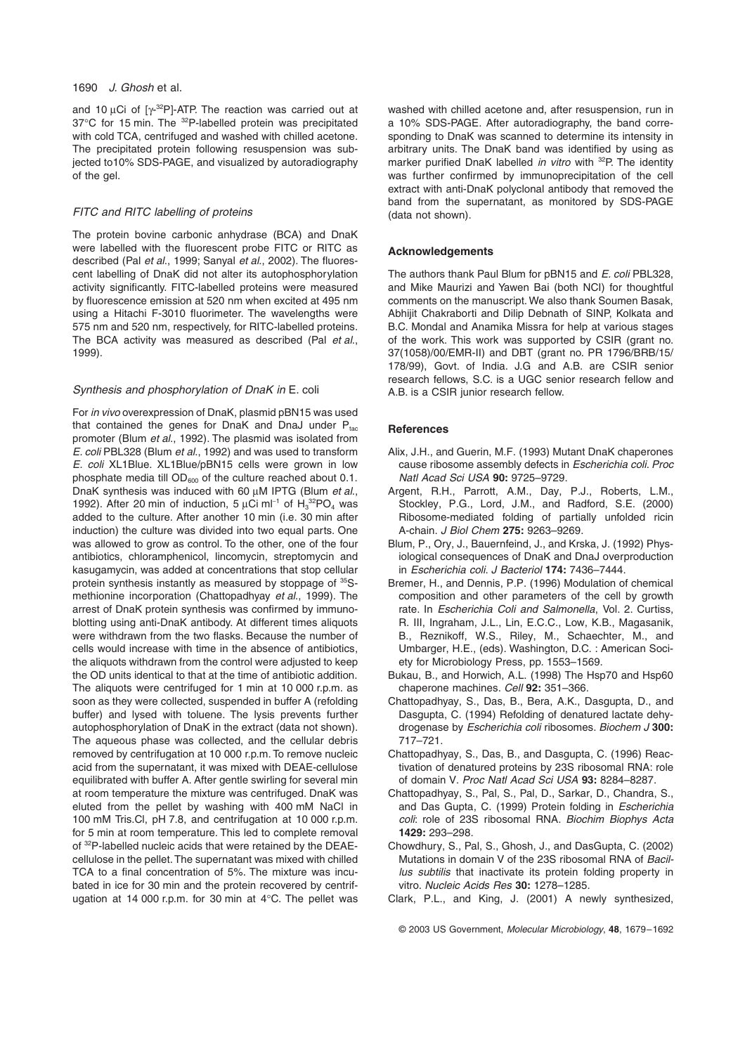## 1690 J. Ghosh et al.

and 10  $\mu$ Ci of [ $\gamma$ -<sup>32</sup>P]-ATP. The reaction was carried out at 37<sup>°</sup>C for 15 min. The <sup>32</sup>P-labelled protein was precipitated with cold TCA, centrifuged and washed with chilled acetone. The precipitated protein following resuspension was subjected to10% SDS-PAGE, and visualized by autoradiography of the gel.

# FITC and RITC labelling of proteins

The protein bovine carbonic anhydrase (BCA) and DnaK were labelled with the fluorescent probe FITC or RITC as described (Pal et al., 1999; Sanyal et al., 2002). The fluorescent labelling of DnaK did not alter its autophosphorylation activity significantly. FITC-labelled proteins were measured by fluorescence emission at 520 nm when excited at 495 nm using a Hitachi F-3010 fluorimeter. The wavelengths were 575 nm and 520 nm, respectively, for RITC-labelled proteins. The BCA activity was measured as described (Pal et al., 1999).

# Synthesis and phosphorylation of DnaK in E. coli

For in vivo overexpression of DnaK, plasmid pBN15 was used that contained the genes for DnaK and DnaJ under  $P_{tac}$ promoter (Blum et al., 1992). The plasmid was isolated from E. coli PBL328 (Blum et al., 1992) and was used to transform E. coli XL1Blue. XL1Blue/pBN15 cells were grown in low phosphate media till  $OD_{600}$  of the culture reached about 0.1. DnaK synthesis was induced with 60 uM IPTG (Blum et al., 1992). After 20 min of induction, 5  $\mu$ Ci ml<sup>-1</sup> of  $H_3^{32}PO_4$  was added to the culture. After another 10 min (i.e. 30 min after induction) the culture was divided into two equal parts. One was allowed to grow as control. To the other, one of the four antibiotics, chloramphenicol, lincomycin, streptomycin and kasugamycin, was added at concentrations that stop cellular protein synthesis instantly as measured by stoppage of 35Smethionine incorporation (Chattopadhyay et al., 1999). The arrest of DnaK protein synthesis was confirmed by immunoblotting using anti-DnaK antibody. At different times aliquots were withdrawn from the two flasks. Because the number of cells would increase with time in the absence of antibiotics, the aliquots withdrawn from the control were adjusted to keep the OD units identical to that at the time of antibiotic addition. The aliquots were centrifuged for 1 min at 10 000 r.p.m. as soon as they were collected, suspended in buffer A (refolding buffer) and lysed with toluene. The lysis prevents further autophosphorylation of DnaK in the extract (data not shown). The aqueous phase was collected, and the cellular debris removed by centrifugation at 10 000 r.p.m. To remove nucleic acid from the supernatant, it was mixed with DEAE-cellulose equilibrated with buffer A. After gentle swirling for several min at room temperature the mixture was centrifuged. DnaK was eluted from the pellet by washing with 400 mM NaCl in 100 mM Tris.Cl, pH 7.8, and centrifugation at 10 000 r.p.m. for 5 min at room temperature. This led to complete removal of <sup>32</sup>P-labelled nucleic acids that were retained by the DEAEcellulose in the pellet. The supernatant was mixed with chilled TCA to a final concentration of 5%. The mixture was incubated in ice for 30 min and the protein recovered by centrifugation at 14 000 r.p.m. for 30 min at 4∞C. The pellet was washed with chilled acetone and, after resuspension, run in a 10% SDS-PAGE. After autoradiography, the band corresponding to DnaK was scanned to determine its intensity in arbitrary units. The DnaK band was identified by using as marker purified DnaK labelled in vitro with <sup>32</sup>P. The identity was further confirmed by immunoprecipitation of the cell extract with anti-DnaK polyclonal antibody that removed the band from the supernatant, as monitored by SDS-PAGE (data not shown).

## **Acknowledgements**

The authors thank Paul Blum for pBN15 and E. coli PBL328, and Mike Maurizi and Yawen Bai (both NCI) for thoughtful comments on the manuscript. We also thank Soumen Basak, Abhijit Chakraborti and Dilip Debnath of SINP, Kolkata and B.C. Mondal and Anamika Missra for help at various stages of the work. This work was supported by CSIR (grant no. 37(1058)/00/EMR-II) and DBT (grant no. PR 1796/BRB/15/ 178/99), Govt. of India. J.G and A.B. are CSIR senior research fellows, S.C. is a UGC senior research fellow and A.B. is a CSIR junior research fellow.

# **References**

- Alix, J.H., and Guerin, M.F. (1993) Mutant DnaK chaperones cause ribosome assembly defects in Escherichia coli. Proc Natl Acad Sci USA **90:** 9725–9729.
- Argent, R.H., Parrott, A.M., Day, P.J., Roberts, L.M., Stockley, P.G., Lord, J.M., and Radford, S.E. (2000) Ribosome-mediated folding of partially unfolded ricin A-chain. J Biol Chem **275:** 9263–9269.
- Blum, P., Ory, J., Bauernfeind, J., and Krska, J. (1992) Physiological consequences of DnaK and DnaJ overproduction in Escherichia coli. J Bacteriol **174:** 7436–7444.
- Bremer, H., and Dennis, P.P. (1996) Modulation of chemical composition and other parameters of the cell by growth rate. In Escherichia Coli and Salmonella, Vol. 2. Curtiss, R. III, Ingraham, J.L., Lin, E.C.C., Low, K.B., Magasanik, B., Reznikoff, W.S., Riley, M., Schaechter, M., and Umbarger, H.E., (eds). Washington, D.C. : American Society for Microbiology Press, pp. 1553–1569.
- Bukau, B., and Horwich, A.L. (1998) The Hsp70 and Hsp60 chaperone machines. Cell **92:** 351–366.
- Chattopadhyay, S., Das, B., Bera, A.K., Dasgupta, D., and Dasgupta, C. (1994) Refolding of denatured lactate dehydrogenase by Escherichia coli ribosomes. Biochem J **300:** 717–721.
- Chattopadhyay, S., Das, B., and Dasgupta, C. (1996) Reactivation of denatured proteins by 23S ribosomal RNA: role of domain V. Proc Natl Acad Sci USA **93:** 8284–8287.
- Chattopadhyay, S., Pal, S., Pal, D., Sarkar, D., Chandra, S., and Das Gupta, C. (1999) Protein folding in Escherichia coli: role of 23S ribosomal RNA. Biochim Biophys Acta **1429:** 293–298.
- Chowdhury, S., Pal, S., Ghosh, J., and DasGupta, C. (2002) Mutations in domain V of the 23S ribosomal RNA of Bacillus subtilis that inactivate its protein folding property in vitro. Nucleic Acids Res **30:** 1278–1285.
- Clark, P.L., and King, J. (2001) A newly synthesized,

© 2003 US Government, Molecular Microbiology, **48**, 1679–1692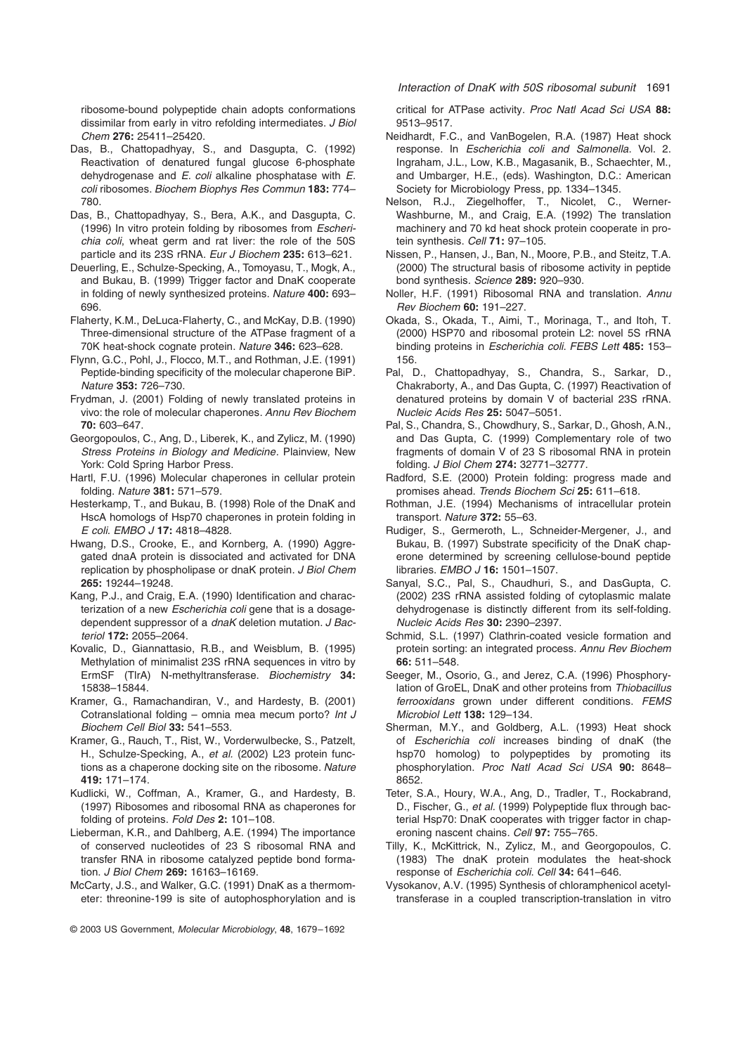ribosome-bound polypeptide chain adopts conformations dissimilar from early in vitro refolding intermediates. *J Biol* Chem **276:** 25411–25420.

- Das, B., Chattopadhyay, S., and Dasgupta, C. (1992) Reactivation of denatured fungal glucose 6-phosphate dehydrogenase and E. coli alkaline phosphatase with E. coli ribosomes. Biochem Biophys Res Commun **183:** 774– 780.
- Das, B., Chattopadhyay, S., Bera, A.K., and Dasgupta, C. (1996) In vitro protein folding by ribosomes from Escherichia coli, wheat germ and rat liver: the role of the 50S particle and its 23S rRNA. Eur J Biochem **235:** 613–621.
- Deuerling, E., Schulze-Specking, A., Tomoyasu, T., Mogk, A., and Bukau, B. (1999) Trigger factor and DnaK cooperate in folding of newly synthesized proteins. Nature **400:** 693– 696.
- Flaherty, K.M., DeLuca-Flaherty, C., and McKay, D.B. (1990) Three-dimensional structure of the ATPase fragment of a 70K heat-shock cognate protein. Nature **346:** 623–628.
- Flynn, G.C., Pohl, J., Flocco, M.T., and Rothman, J.E. (1991) Peptide-binding specificity of the molecular chaperone BiP. Nature **353:** 726–730.
- Frydman, J. (2001) Folding of newly translated proteins in vivo: the role of molecular chaperones. Annu Rev Biochem **70:** 603–647.
- Georgopoulos, C., Ang, D., Liberek, K., and Zylicz, M. (1990) Stress Proteins in Biology and Medicine. Plainview, New York: Cold Spring Harbor Press.
- Hartl, F.U. (1996) Molecular chaperones in cellular protein folding. Nature **381:** 571–579.
- Hesterkamp, T., and Bukau, B. (1998) Role of the DnaK and HscA homologs of Hsp70 chaperones in protein folding in E coli. EMBO J **17:** 4818–4828.
- Hwang, D.S., Crooke, E., and Kornberg, A. (1990) Aggregated dnaA protein is dissociated and activated for DNA replication by phospholipase or dnaK protein. J Biol Chem **265:** 19244–19248.
- Kang, P.J., and Craig, E.A. (1990) Identification and characterization of a new Escherichia coli gene that is a dosagedependent suppressor of a dnaK deletion mutation. J Bacteriol **172:** 2055–2064.
- Kovalic, D., Giannattasio, R.B., and Weisblum, B. (1995) Methylation of minimalist 23S rRNA sequences in vitro by ErmSF (TlrA) N-methyltransferase. Biochemistry **34:** 15838–15844.
- Kramer, G., Ramachandiran, V., and Hardesty, B. (2001) Cotranslational folding – omnia mea mecum porto? Int J Biochem Cell Biol **33:** 541–553.
- Kramer, G., Rauch, T., Rist, W., Vorderwulbecke, S., Patzelt, H., Schulze-Specking, A., et al. (2002) L23 protein functions as a chaperone docking site on the ribosome. Nature **419:** 171–174.
- Kudlicki, W., Coffman, A., Kramer, G., and Hardesty, B. (1997) Ribosomes and ribosomal RNA as chaperones for folding of proteins. Fold Des **2:** 101–108.
- Lieberman, K.R., and Dahlberg, A.E. (1994) The importance of conserved nucleotides of 23 S ribosomal RNA and transfer RNA in ribosome catalyzed peptide bond formation. J Biol Chem **269:** 16163–16169.
- McCarty, J.S., and Walker, G.C. (1991) DnaK as a thermometer: threonine-199 is site of autophosphorylation and is

critical for ATPase activity. Proc Natl Acad Sci USA **88:** 9513–9517.

- Neidhardt, F.C., and VanBogelen, R.A. (1987) Heat shock response. In Escherichia coli and Salmonella. Vol. 2. Ingraham, J.L., Low, K.B., Magasanik, B., Schaechter, M., and Umbarger, H.E., (eds). Washington, D.C.: American Society for Microbiology Press, pp. 1334–1345.
- Nelson, R.J., Ziegelhoffer, T., Nicolet, C., Werner-Washburne, M., and Craig, E.A. (1992) The translation machinery and 70 kd heat shock protein cooperate in protein synthesis. Cell **71:** 97–105.
- Nissen, P., Hansen, J., Ban, N., Moore, P.B., and Steitz, T.A. (2000) The structural basis of ribosome activity in peptide bond synthesis. Science **289:** 920–930.
- Noller, H.F. (1991) Ribosomal RNA and translation. Annu Rev Biochem **60:** 191–227.
- Okada, S., Okada, T., Aimi, T., Morinaga, T., and Itoh, T. (2000) HSP70 and ribosomal protein L2: novel 5S rRNA binding proteins in Escherichia coli. FEBS Lett **485:** 153– 156.
- Pal, D., Chattopadhyay, S., Chandra, S., Sarkar, D., Chakraborty, A., and Das Gupta, C. (1997) Reactivation of denatured proteins by domain V of bacterial 23S rRNA. Nucleic Acids Res **25:** 5047–5051.
- Pal, S., Chandra, S., Chowdhury, S., Sarkar, D., Ghosh, A.N., and Das Gupta, C. (1999) Complementary role of two fragments of domain V of 23 S ribosomal RNA in protein folding. J Biol Chem **274:** 32771–32777.
- Radford, S.E. (2000) Protein folding: progress made and promises ahead. Trends Biochem Sci **25:** 611–618.
- Rothman, J.E. (1994) Mechanisms of intracellular protein transport. Nature **372:** 55–63.
- Rudiger, S., Germeroth, L., Schneider-Mergener, J., and Bukau, B. (1997) Substrate specificity of the DnaK chaperone determined by screening cellulose-bound peptide libraries. EMBO J **16:** 1501–1507.
- Sanyal, S.C., Pal, S., Chaudhuri, S., and DasGupta, C. (2002) 23S rRNA assisted folding of cytoplasmic malate dehydrogenase is distinctly different from its self-folding. Nucleic Acids Res **30:** 2390–2397.
- Schmid, S.L. (1997) Clathrin-coated vesicle formation and protein sorting: an integrated process. Annu Rev Biochem **66:** 511–548.
- Seeger, M., Osorio, G., and Jerez, C.A. (1996) Phosphorylation of GroEL, DnaK and other proteins from Thiobacillus ferrooxidans grown under different conditions. FEMS Microbiol Lett **138:** 129–134.
- Sherman, M.Y., and Goldberg, A.L. (1993) Heat shock of Escherichia coli increases binding of dnaK (the hsp70 homolog) to polypeptides by promoting its phosphorylation. Proc Natl Acad Sci USA **90:** 8648– 8652.
- Teter, S.A., Houry, W.A., Ang, D., Tradler, T., Rockabrand, D., Fischer, G., et al. (1999) Polypeptide flux through bacterial Hsp70: DnaK cooperates with trigger factor in chaperoning nascent chains. Cell **97:** 755–765.
- Tilly, K., McKittrick, N., Zylicz, M., and Georgopoulos, C. (1983) The dnaK protein modulates the heat-shock response of Escherichia coli. Cell **34:** 641–646.
- Vysokanov, A.V. (1995) Synthesis of chloramphenicol acetyltransferase in a coupled transcription-translation in vitro